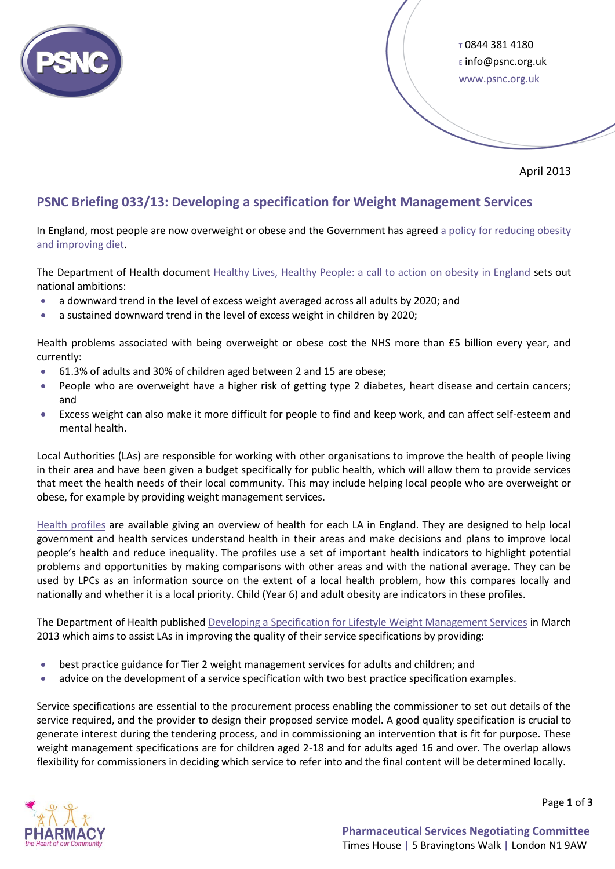

 $t$  0844 381 4180 <sup>E</sup> info@psnc.org.uk www.psnc.org.uk

April 2013

# **PSNC Briefing 033/13: Developing a specification for Weight Management Services**

In England, most people are now overweight or obese and the Government has agreed [a policy for reducing obesity](https://www.gov.uk/government/policies/reducing-obesity-and-improving-diet)  [and improving diet.](https://www.gov.uk/government/policies/reducing-obesity-and-improving-diet)

The Department of Health document [Healthy Lives, Healthy People: a call to action on obesity in England](https://www.gov.uk/government/publications/healthy-lives-healthy-people-a-call-to-action-on-obesity-in-england) sets out national ambitions:

- a downward trend in the level of excess weight averaged across all adults by 2020; and
- a sustained downward trend in the level of excess weight in children by 2020;

Health problems associated with being overweight or obese cost the NHS more than £5 billion every year, and currently:

- 61.3% of adults and 30% of children aged between 2 and 15 are obese;
- People who are overweight have a higher risk of getting type 2 diabetes, heart disease and certain cancers; and
- Excess weight can also make it more difficult for people to find and keep work, and can affect self-esteem and mental health.

Local Authorities (LAs) are responsible for working with other organisations to improve the health of people living in their area and have been given a budget specifically for public health, which will allow them to provide services that meet the health needs of their local community. This may include helping local people who are overweight or obese, for example by providing weight management services.

[Health profiles](http://www.apho.org.uk/default.aspx?QN=P_HEALTH_PROFILES) are available giving an overview of health for each LA in England. They are designed to help local government and health services understand health in their areas and make decisions and plans to improve local people's health and reduce inequality. The profiles use a set of important health indicators to highlight potential problems and opportunities by making comparisons with other areas and with the national average. They can be used by LPCs as an information source on the extent of a local health problem, how this compares locally and nationally and whether it is a local priority. Child (Year 6) and adult obesity are indicators in these profiles.

The Department of Health publishe[d Developing a Specification for Lifestyle Weight Management Services](https://www.gov.uk/government/publications/best-practice-guidance-for-weight-management-services) in March 2013 which aims to assist LAs in improving the quality of their service specifications by providing:

- best practice guidance for Tier 2 weight management services for adults and children; and
- advice on the development of a service specification with two best practice specification examples.

Service specifications are essential to the procurement process enabling the commissioner to set out details of the service required, and the provider to design their proposed service model. A good quality specification is crucial to generate interest during the tendering process, and in commissioning an intervention that is fit for purpose. These weight management specifications are for children aged 2-18 and for adults aged 16 and over. The overlap allows flexibility for commissioners in deciding which service to refer into and the final content will be determined locally.



Page **1** of **3**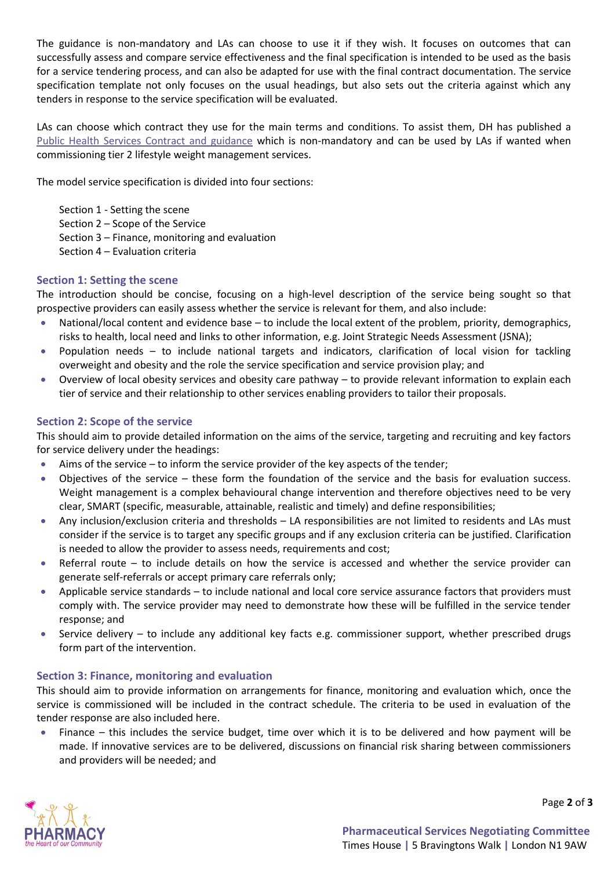The guidance is non-mandatory and LAs can choose to use it if they wish. It focuses on outcomes that can successfully assess and compare service effectiveness and the final specification is intended to be used as the basis for a service tendering process, and can also be adapted for use with the final contract documentation. The service specification template not only focuses on the usual headings, but also sets out the criteria against which any tenders in response to the service specification will be evaluated.

LAs can choose which contract they use for the main terms and conditions. To assist them, DH has published a [Public Health Services Contract and guidance](https://www.gov.uk/government/publications/public-health-services-non-mandatory-contracts-and-guidance-published) which is non-mandatory and can be used by LAs if wanted when commissioning tier 2 lifestyle weight management services.

The model service specification is divided into four sections:

Section 1 - Setting the scene Section 2 – Scope of the Service Section 3 – Finance, monitoring and evaluation Section 4 – Evaluation criteria

## **Section 1: Setting the scene**

The introduction should be concise, focusing on a high-level description of the service being sought so that prospective providers can easily assess whether the service is relevant for them, and also include:

- National/local content and evidence base to include the local extent of the problem, priority, demographics, risks to health, local need and links to other information, e.g. Joint Strategic Needs Assessment (JSNA);
- Population needs to include national targets and indicators, clarification of local vision for tackling overweight and obesity and the role the service specification and service provision play; and
- Overview of local obesity services and obesity care pathway to provide relevant information to explain each tier of service and their relationship to other services enabling providers to tailor their proposals.

### **Section 2: Scope of the service**

This should aim to provide detailed information on the aims of the service, targeting and recruiting and key factors for service delivery under the headings:

- $\bullet$  Aims of the service to inform the service provider of the key aspects of the tender;
- Objectives of the service these form the foundation of the service and the basis for evaluation success. Weight management is a complex behavioural change intervention and therefore objectives need to be very clear, SMART (specific, measurable, attainable, realistic and timely) and define responsibilities;
- Any inclusion/exclusion criteria and thresholds LA responsibilities are not limited to residents and LAs must consider if the service is to target any specific groups and if any exclusion criteria can be justified. Clarification is needed to allow the provider to assess needs, requirements and cost;
- Referral route to include details on how the service is accessed and whether the service provider can generate self-referrals or accept primary care referrals only;
- Applicable service standards to include national and local core service assurance factors that providers must comply with. The service provider may need to demonstrate how these will be fulfilled in the service tender response; and
- Service delivery to include any additional key facts e.g. commissioner support, whether prescribed drugs form part of the intervention.

### **Section 3: Finance, monitoring and evaluation**

This should aim to provide information on arrangements for finance, monitoring and evaluation which, once the service is commissioned will be included in the contract schedule. The criteria to be used in evaluation of the tender response are also included here.

 Finance – this includes the service budget, time over which it is to be delivered and how payment will be made. If innovative services are to be delivered, discussions on financial risk sharing between commissioners and providers will be needed; and



Page **2** of **3**